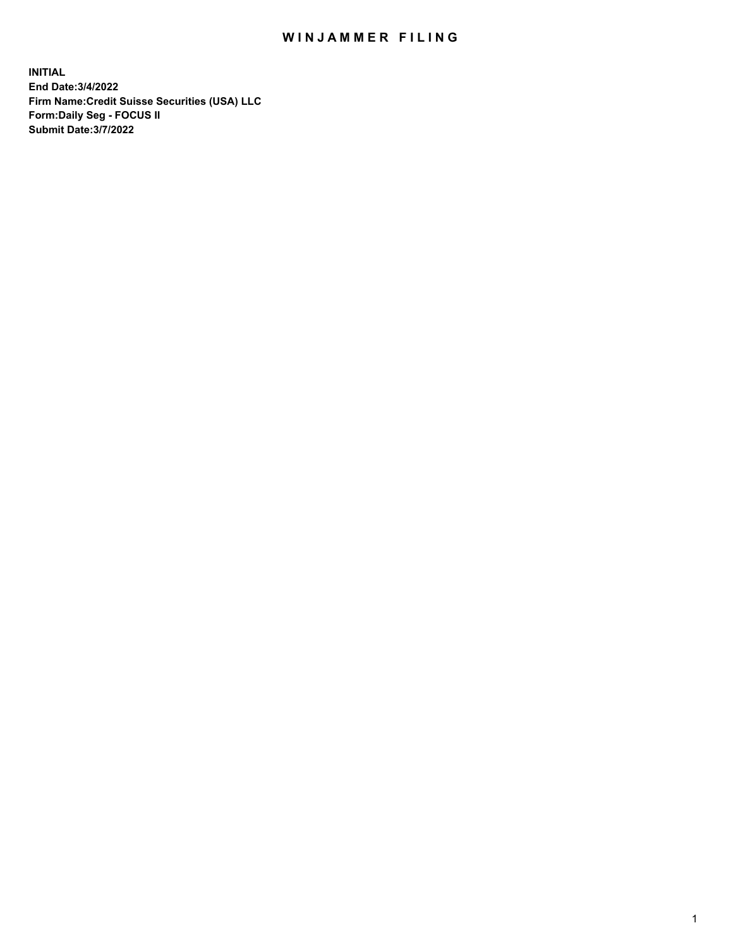## WIN JAMMER FILING

**INITIAL End Date:3/4/2022 Firm Name:Credit Suisse Securities (USA) LLC Form:Daily Seg - FOCUS II Submit Date:3/7/2022**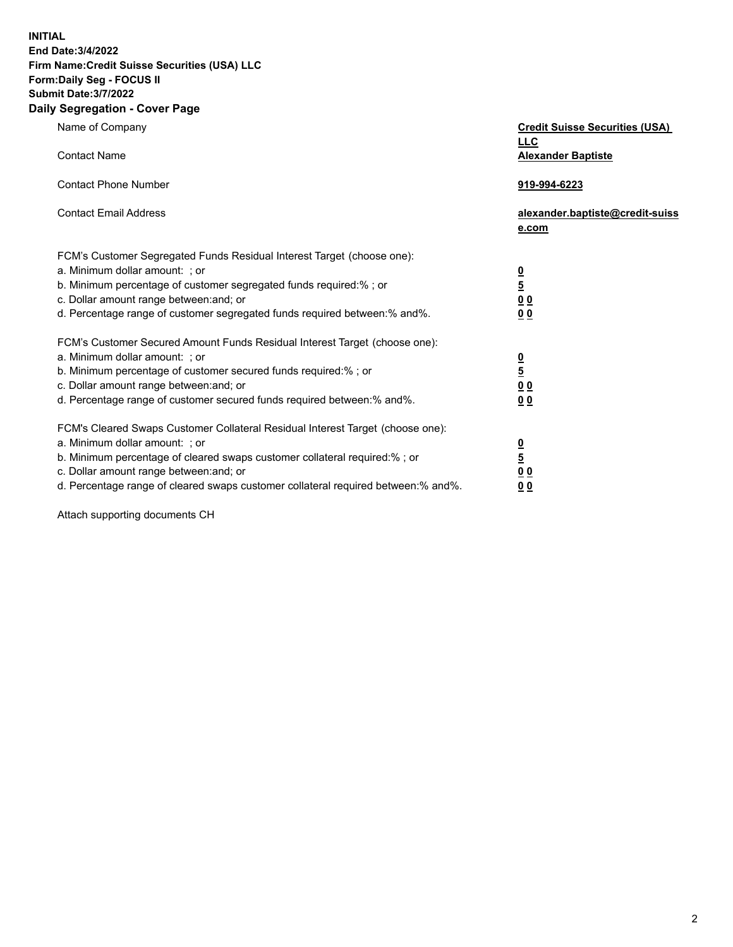**INITIAL** 

### **End Date:3/4/2022 Firm Name:Credit Suisse Securities (USA) LLC Form:Daily Seg - FOCUS II**

# **Submit Date:3/7/2022**

### **Daily Segregation - Cover Page**

| Name of Company                                                                   | <b>Credit Suisse Securities (USA)</b><br><b>LLC</b> |
|-----------------------------------------------------------------------------------|-----------------------------------------------------|
| <b>Contact Name</b>                                                               | <b>Alexander Baptiste</b>                           |
| <b>Contact Phone Number</b>                                                       | 919-994-6223                                        |
| <b>Contact Email Address</b>                                                      | alexander.baptiste@credit-suiss<br>e.com            |
| FCM's Customer Segregated Funds Residual Interest Target (choose one):            |                                                     |
| a. Minimum dollar amount: ; or                                                    |                                                     |
| b. Minimum percentage of customer segregated funds required:% ; or                | $\frac{0}{5}$                                       |
| c. Dollar amount range between: and; or                                           | $\underline{0}$ $\underline{0}$                     |
| d. Percentage range of customer segregated funds required between:% and%.         | 00                                                  |
| FCM's Customer Secured Amount Funds Residual Interest Target (choose one):        |                                                     |
| a. Minimum dollar amount: ; or                                                    | $\frac{0}{5}$                                       |
| b. Minimum percentage of customer secured funds required:%; or                    |                                                     |
| c. Dollar amount range between: and; or                                           | 0 <sub>0</sub>                                      |
| d. Percentage range of customer secured funds required between:% and%.            | 00                                                  |
| FCM's Cleared Swaps Customer Collateral Residual Interest Target (choose one):    |                                                     |
| a. Minimum dollar amount: ; or                                                    |                                                     |
| b. Minimum percentage of cleared swaps customer collateral required:% ; or        | $\frac{0}{5}$                                       |
| c. Dollar amount range between: and; or                                           | 0 <sub>0</sub>                                      |
| d. Percentage range of cleared swaps customer collateral required between:% and%. | 0 <sub>0</sub>                                      |

Attach supporting documents CH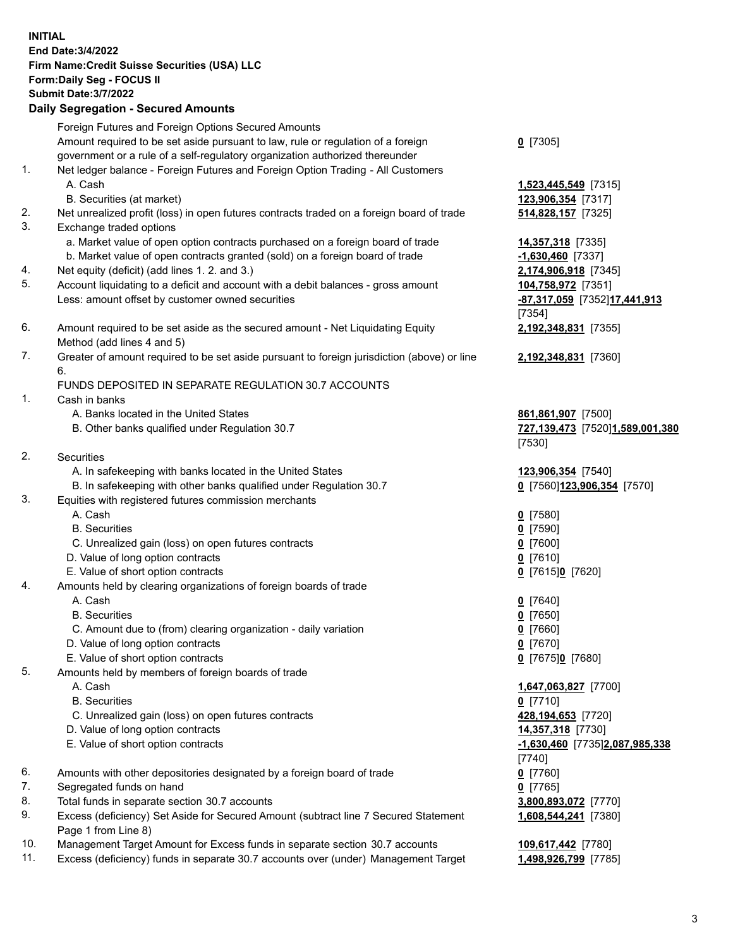**INITIAL End Date:3/4/2022 Firm Name:Credit Suisse Securities (USA) LLC Form:Daily Seg - FOCUS II Submit Date:3/7/2022 Daily Segregation - Secured Amounts**  Foreign Futures and Foreign Options Secured Amounts Amount required to be set aside pursuant to law, rule or regulation of a foreign **0** [7305] government or a rule of a self-regulatory organization authorized thereunder 1. Net ledger balance - Foreign Futures and Foreign Option Trading - All Customers A. Cash **1,523,445,549** [7315] B. Securities (at market) **123,906,354** [7317] 2. Net unrealized profit (loss) in open futures contracts traded on a foreign board of trade **514,828,157** [7325] 3. Exchange traded options a. Market value of open option contracts purchased on a foreign board of trade **14,357,318** [7335] b. Market value of open contracts granted (sold) on a foreign board of trade **-1,630,460** [7337] 4. Net equity (deficit) (add lines 1. 2. and 3.) **2,174,906,918** [7345] 5. Account liquidating to a deficit and account with a debit balances - gross amount **104,758,972** [7351] Less: amount offset by customer owned securities **-87,317,059** [7352] **17,441,913**  [7354] 6. Amount required to be set aside as the secured amount - Net Liquidating Equity **2,192,348,831** [7355] Method (add lines 4 and 5) 7. Greater of amount required to be set aside pursuant to foreign jurisdiction (above) or line **2,192,348,831** [7360] 6. FUNDS DEPOSITED IN SEPARATE REGULATION 30.7 ACCOUNTS 1. Cash in banks A. Banks located in the United States **861,861,907** [7500] B. Other banks qualified under Regulation 30.7 **727,139,473** [7520] **1,589,001,380**  [7530] 2. Securities A. In safekeeping with banks located in the United States **123,906,354** [7540] B. In safekeeping with other banks qualified under Regulation 30.7 **0** [7560] **123,906,354** [7570] 3. Equities with registered futures commission merchants A. Cash **0** [7580] B. Securities **0** [7590] C. Unrealized gain (loss) on open futures contracts **0** [7600] D. Value of long option contracts **0** [7610] E. Value of short option contracts **0** [7615] **0** [7620] 4. Amounts held by clearing organizations of foreign boards of trade A. Cash **0** [7640] B. Securities **0** [7650] C. Amount due to (from) clearing organization - daily variation **0** [7660] D. Value of long option contracts **0** [7670] E. Value of short option contracts **0** [7675] **0** [7680] 5. Amounts held by members of foreign boards of trade A. Cash **1,647,063,827** [7700] B. Securities **0** [7710] C. Unrealized gain (loss) on open futures contracts **428,194,653** [7720] D. Value of long option contracts **14,357,318** [7730] E. Value of short option contracts **-1,630,460** [7735] **2,087,985,338**  [7740] 6. Amounts with other depositories designated by a foreign board of trade **0** [7760]

- 7. Segregated funds on hand **0** [7765]
- 8. Total funds in separate section 30.7 accounts **3,800,893,072** [7770]
- 9. Excess (deficiency) Set Aside for Secured Amount (subtract line 7 Secured Statement **1,608,544,241** [7380] Page 1 from Line 8)
- 10. Management Target Amount for Excess funds in separate section 30.7 accounts **109,617,442** [7780]
- 11. Excess (deficiency) funds in separate 30.7 accounts over (under) Management Target **1,498,926,799** [7785]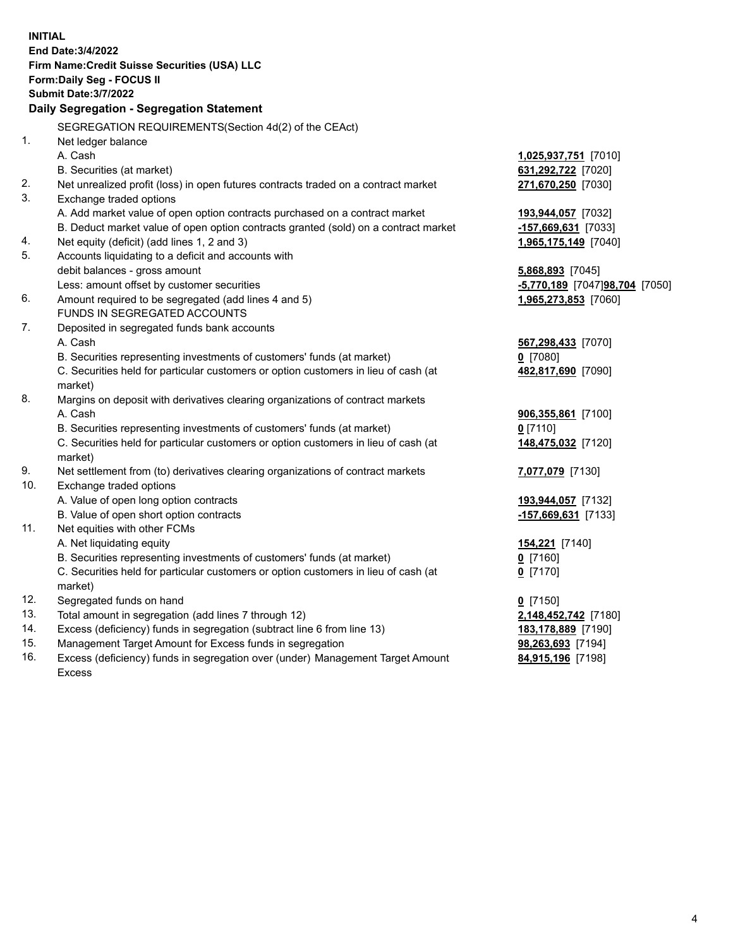| <b>INITIAL</b> | End Date: 3/4/2022<br>Firm Name: Credit Suisse Securities (USA) LLC<br>Form: Daily Seg - FOCUS II<br><b>Submit Date: 3/7/2022</b> |                                |
|----------------|-----------------------------------------------------------------------------------------------------------------------------------|--------------------------------|
|                | Daily Segregation - Segregation Statement                                                                                         |                                |
|                | SEGREGATION REQUIREMENTS(Section 4d(2) of the CEAct)                                                                              |                                |
| 1.             | Net ledger balance                                                                                                                |                                |
|                | A. Cash                                                                                                                           | 1,025,937,751 [7010]           |
|                | B. Securities (at market)                                                                                                         | 631,292,722 [7020]             |
| 2.             | Net unrealized profit (loss) in open futures contracts traded on a contract market                                                | 271,670,250 [7030]             |
| 3.             | Exchange traded options                                                                                                           |                                |
|                | A. Add market value of open option contracts purchased on a contract market                                                       | 193,944,057 [7032]             |
|                | B. Deduct market value of open option contracts granted (sold) on a contract market                                               | -157,669,631 [7033]            |
| 4.             | Net equity (deficit) (add lines 1, 2 and 3)                                                                                       | 1,965,175,149 [7040]           |
| 5.             | Accounts liquidating to a deficit and accounts with                                                                               |                                |
|                | debit balances - gross amount                                                                                                     | $5,868,893$ [7045]             |
|                | Less: amount offset by customer securities                                                                                        | -5,770,189 [7047]98,704 [7050] |
| 6.             | Amount required to be segregated (add lines 4 and 5)                                                                              | 1,965,273,853 [7060]           |
|                | FUNDS IN SEGREGATED ACCOUNTS                                                                                                      |                                |
| 7.             | Deposited in segregated funds bank accounts                                                                                       |                                |
|                | A. Cash                                                                                                                           | 567,298,433 [7070]             |
|                | B. Securities representing investments of customers' funds (at market)                                                            | $0$ [7080]                     |
|                | C. Securities held for particular customers or option customers in lieu of cash (at                                               | 482,817,690 [7090]             |
|                | market)                                                                                                                           |                                |
| 8.             | Margins on deposit with derivatives clearing organizations of contract markets                                                    |                                |
|                | A. Cash                                                                                                                           | 906,355,861 [7100]             |
|                | B. Securities representing investments of customers' funds (at market)                                                            | $0$ [7110]                     |
|                | C. Securities held for particular customers or option customers in lieu of cash (at                                               | 148,475,032 [7120]             |
|                | market)                                                                                                                           |                                |
| 9.             | Net settlement from (to) derivatives clearing organizations of contract markets                                                   | 7,077,079 [7130]               |
| 10.            | Exchange traded options                                                                                                           |                                |
|                | A. Value of open long option contracts                                                                                            | 193,944,057 [7132]             |
|                | B. Value of open short option contracts                                                                                           | -157,669,631 [7133]            |
| 11.            | Net equities with other FCMs                                                                                                      |                                |
|                | A. Net liquidating equity                                                                                                         | <u>154,221</u> [7140]          |
|                | B. Securities representing investments of customers' funds (at market)                                                            | $0$ [7160]                     |
|                | C. Securities held for particular customers or option customers in lieu of cash (at                                               | $0$ [7170]                     |
|                | market)                                                                                                                           |                                |
| 12.            | Segregated funds on hand                                                                                                          | $0$ [7150]                     |
| 13.            | Total amount in segregation (add lines 7 through 12)                                                                              | 2,148,452,742 [7180]           |
| 14.            | Excess (deficiency) funds in segregation (subtract line 6 from line 13)                                                           | 183,178,889 [7190]             |
| 15.            | Management Target Amount for Excess funds in segregation                                                                          | 98,263,693 [7194]              |
| 16.            | Excess (deficiency) funds in segregation over (under) Management Target Amount                                                    | 84,915,196 [7198]              |
|                | <b>Excess</b>                                                                                                                     |                                |